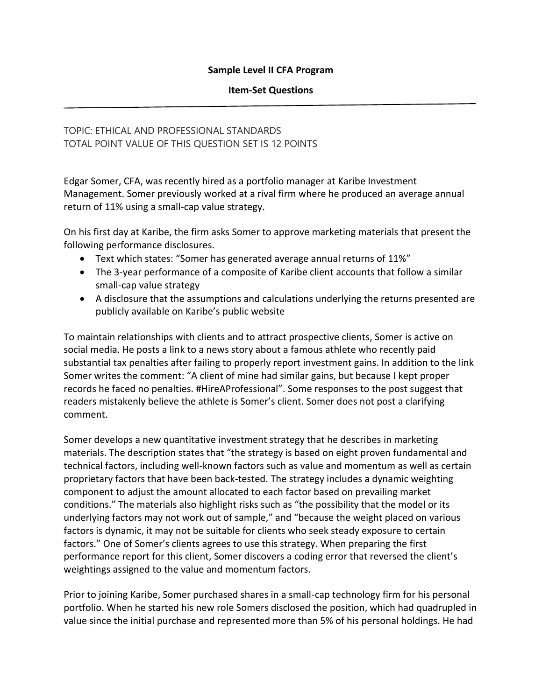#### **Sample Level II CFA Program**

#### **Item-Set Questions**

# TOPIC: ETHICAL AND PROFESSIONAL STANDARDS TOTAL POINT VALUE OF THIS QUESTION SET IS 12 POINTS

Edgar Somer, CFA, was recently hired as a portfolio manager at Karibe Investment Management. Somer previously worked at a rival firm where he produced an average annual return of 11% using a small-cap value strategy.

On his first day at Karibe, the firm asks Somer to approve marketing materials that present the following performance disclosures.

- Text which states: "Somer has generated average annual returns of 11%"
- The 3-year performance of a composite of Karibe client accounts that follow a similar small-cap value strategy
- A disclosure that the assumptions and calculations underlying the returns presented are publicly available on Karibe's public website

To maintain relationships with clients and to attract prospective clients, Somer is active on social media. He posts a link to a news story about a famous athlete who recently paid substantial tax penalties after failing to properly report investment gains. In addition to the link Somer writes the comment: "A client of mine had similar gains, but because I kept proper records he faced no penalties. #HireAProfessional". Some responses to the post suggest that readers mistakenly believe the athlete is Somer's client. Somer does not post a clarifying comment.

Somer develops a new quantitative investment strategy that he describes in marketing materials. The description states that "the strategy is based on eight proven fundamental and technical factors, including well-known factors such as value and momentum as well as certain proprietary factors that have been back-tested. The strategy includes a dynamic weighting component to adjust the amount allocated to each factor based on prevailing market conditions." The materials also highlight risks such as "the possibility that the model or its underlying factors may not work out of sample," and "because the weight placed on various factors is dynamic, it may not be suitable for clients who seek steady exposure to certain factors." One of Somer's clients agrees to use this strategy. When preparing the first performance report for this client, Somer discovers a coding error that reversed the client's weightings assigned to the value and momentum factors.

Prior to joining Karibe, Somer purchased shares in a small-cap technology firm for his personal portfolio. When he started his new role Somers disclosed the position, which had quadrupled in value since the initial purchase and represented more than 5% of his personal holdings. He had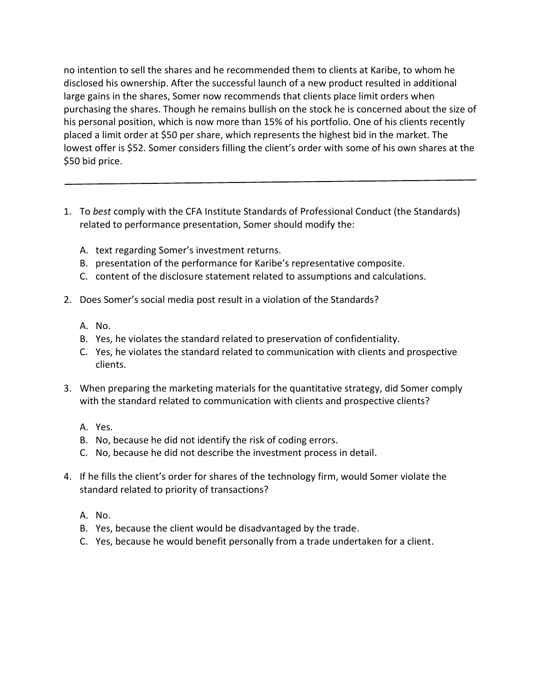no intention to sell the shares and he recommended them to clients at Karibe, to whom he disclosed his ownership. After the successful launch of a new product resulted in additional large gains in the shares, Somer now recommends that clients place limit orders when purchasing the shares. Though he remains bullish on the stock he is concerned about the size of his personal position, which is now more than 15% of his portfolio. One of his clients recently placed a limit order at \$50 per share, which represents the highest bid in the market. The lowest offer is \$52. Somer considers filling the client's order with some of his own shares at the \$50 bid price.

- 1. To *best* comply with the CFA Institute Standards of Professional Conduct (the Standards) related to performance presentation, Somer should modify the:
	- A. text regarding Somer's investment returns.
	- B. presentation of the performance for Karibe's representative composite.
	- C. content of the disclosure statement related to assumptions and calculations.
- 2. Does Somer's social media post result in a violation of the Standards?
	- A. No.
	- B. Yes, he violates the standard related to preservation of confidentiality.
	- C. Yes, he violates the standard related to communication with clients and prospective clients.
- 3. When preparing the marketing materials for the quantitative strategy, did Somer comply with the standard related to communication with clients and prospective clients?
	- A. Yes.
	- B. No, because he did not identify the risk of coding errors.
	- C. No, because he did not describe the investment process in detail.
- 4. If he fills the client's order for shares of the technology firm, would Somer violate the standard related to priority of transactions?
	- A. No.
	- B. Yes, because the client would be disadvantaged by the trade.
	- C. Yes, because he would benefit personally from a trade undertaken for a client.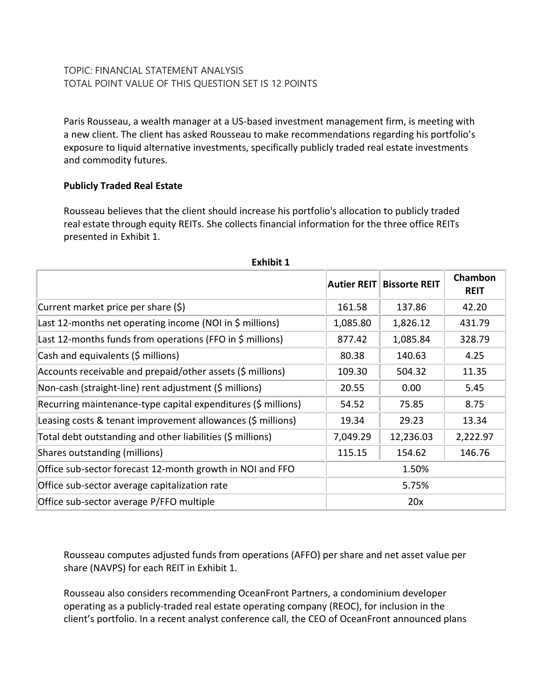# TOPIC: FINANCIAL STATEMENT ANALYSIS TOTAL POINT VALUE OF THIS QUESTION SET IS 12 POINTS

Paris Rousseau, a wealth manager at a US-based investment management firm, is meeting with a new client. The client has asked Rousseau to make recommendations regarding his portfolio's exposure to liquid alternative investments, specifically publicly traded real estate investments and commodity futures.

## **Publicly Traded Real Estate**

Rousseau believes that the client should increase his portfolio's allocation to publicly traded real estate through equity REITs. She collects financial information for the three office REITs presented in Exhibit 1.

| <b>EXILIDIL T</b>                                             |                    |                      |                        |  |
|---------------------------------------------------------------|--------------------|----------------------|------------------------|--|
|                                                               | <b>Autier REIT</b> | <b>Bissorte REIT</b> | Chambon<br><b>REIT</b> |  |
| Current market price per share (\$)                           | 161.58             | 137.86               | 42.20                  |  |
| Last 12-months net operating income (NOI in \$ millions)      | 1,085.80           | 1,826.12             | 431.79                 |  |
| Last 12-months funds from operations (FFO in \$ millions)     | 877.42             | 1,085.84             | 328.79                 |  |
| Cash and equivalents (\$ millions)                            | 80.38              | 140.63               | 4.25                   |  |
| Accounts receivable and prepaid/other assets (\$ millions)    | 109.30             | 504.32               | 11.35                  |  |
| Non-cash (straight-line) rent adjustment (\$ millions)        | 20.55              | 0.00                 | 5.45                   |  |
| Recurring maintenance-type capital expenditures (\$ millions) | 54.52              | 75.85                | 8.75                   |  |
| Leasing costs & tenant improvement allowances (\$ millions)   | 19.34              | 29.23                | 13.34                  |  |
| Total debt outstanding and other liabilities (\$ millions)    | 7,049.29           | 12,236.03            | 2,222.97               |  |
| Shares outstanding (millions)                                 | 115.15             | 154.62               | 146.76                 |  |
| Office sub-sector forecast 12-month growth in NOI and FFO     |                    | 1.50%                |                        |  |
| Office sub-sector average capitalization rate                 |                    | 5.75%                |                        |  |
| Office sub-sector average P/FFO multiple                      |                    | 20x                  |                        |  |

**Exhibit 1**

Rousseau computes adjusted funds from operations (AFFO) per share and net asset value per share (NAVPS) for each REIT in Exhibit 1.

Rousseau also considers recommending OceanFront Partners, a condominium developer operating as a publicly-traded real estate operating company (REOC), for inclusion in the client's portfolio. In a recent analyst conference call, the CEO of OceanFront announced plans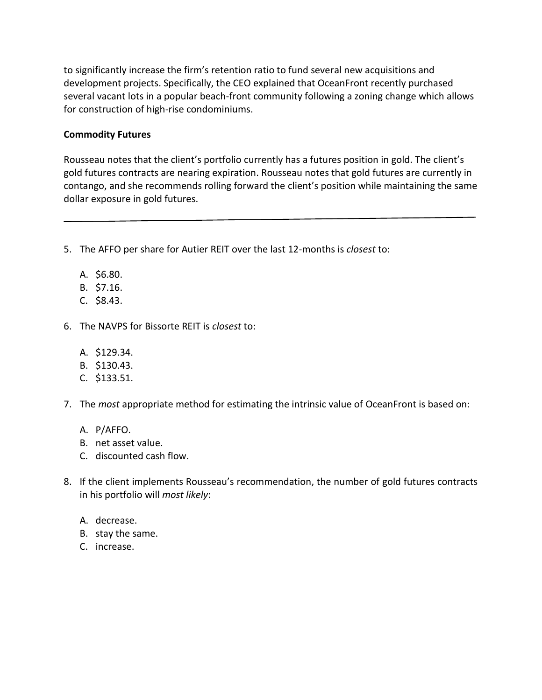to significantly increase the firm's retention ratio to fund several new acquisitions and development projects. Specifically, the CEO explained that OceanFront recently purchased several vacant lots in a popular beach-front community following a zoning change which allows for construction of high-rise condominiums.

#### **Commodity Futures**

Rousseau notes that the client's portfolio currently has a futures position in gold. The client's gold futures contracts are nearing expiration. Rousseau notes that gold futures are currently in contango, and she recommends rolling forward the client's position while maintaining the same dollar exposure in gold futures.

- 5. The AFFO per share for Autier REIT over the last 12-months is *closest* to:
	- A. \$6.80.
	- B. \$7.16.
	- C. \$8.43.
- 6. The NAVPS for Bissorte REIT is *closest* to:
	- A. \$129.34.
	- B. \$130.43.
	- C. \$133.51.
- 7. The *most* appropriate method for estimating the intrinsic value of OceanFront is based on:
	- A. P/AFFO.
	- B. net asset value.
	- C. discounted cash flow.
- 8. If the client implements Rousseau's recommendation, the number of gold futures contracts in his portfolio will *most likely*:
	- A. decrease.
	- B. stay the same.
	- C. increase.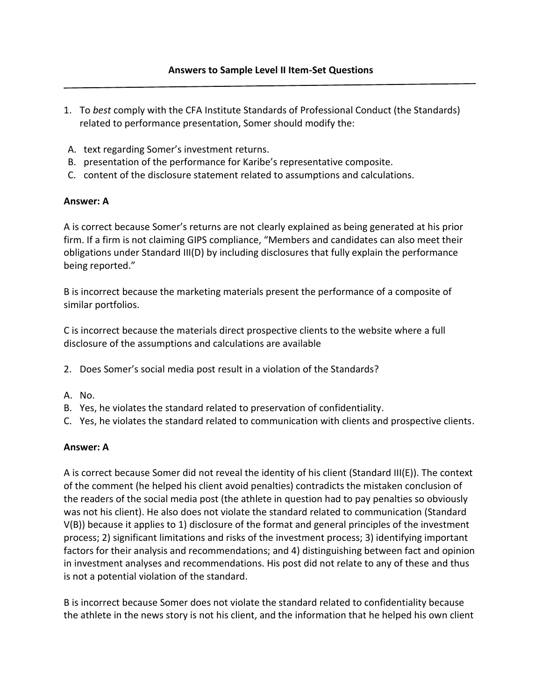- 1. To *best* comply with the CFA Institute Standards of Professional Conduct (the Standards) related to performance presentation, Somer should modify the:
- A. text regarding Somer's investment returns.
- B. presentation of the performance for Karibe's representative composite.
- C. content of the disclosure statement related to assumptions and calculations.

## **Answer: A**

A is correct because Somer's returns are not clearly explained as being generated at his prior firm. If a firm is not claiming GIPS compliance, "Members and candidates can also meet their obligations under Standard III(D) by including disclosures that fully explain the performance being reported."

B is incorrect because the marketing materials present the performance of a composite of similar portfolios.

C is incorrect because the materials direct prospective clients to the website where a full disclosure of the assumptions and calculations are available

- 2. Does Somer's social media post result in a violation of the Standards?
- A. No.
- B. Yes, he violates the standard related to preservation of confidentiality.
- C. Yes, he violates the standard related to communication with clients and prospective clients.

### **Answer: A**

A is correct because Somer did not reveal the identity of his client (Standard III(E)). The context of the comment (he helped his client avoid penalties) contradicts the mistaken conclusion of the readers of the social media post (the athlete in question had to pay penalties so obviously was not his client). He also does not violate the standard related to communication (Standard V(B)) because it applies to 1) disclosure of the format and general principles of the investment process; 2) significant limitations and risks of the investment process; 3) identifying important factors for their analysis and recommendations; and 4) distinguishing between fact and opinion in investment analyses and recommendations. His post did not relate to any of these and thus is not a potential violation of the standard.

B is incorrect because Somer does not violate the standard related to confidentiality because the athlete in the news story is not his client, and the information that he helped his own client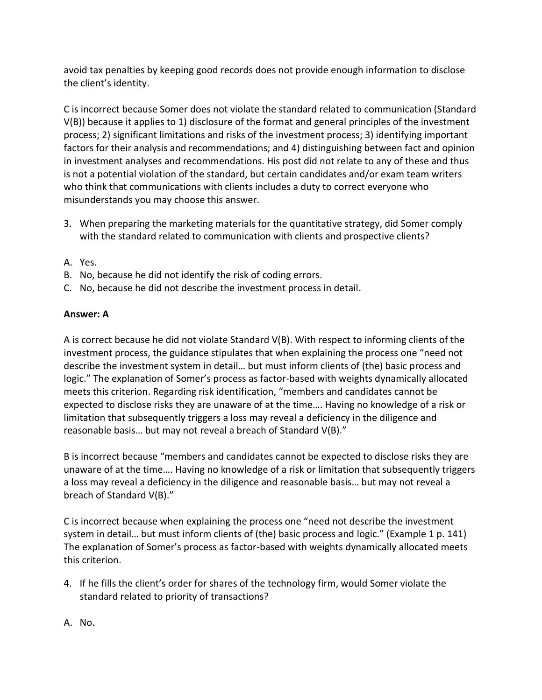avoid tax penalties by keeping good records does not provide enough information to disclose the client's identity.

C is incorrect because Somer does not violate the standard related to communication (Standard V(B)) because it applies to 1) disclosure of the format and general principles of the investment process; 2) significant limitations and risks of the investment process; 3) identifying important factors for their analysis and recommendations; and 4) distinguishing between fact and opinion in investment analyses and recommendations. His post did not relate to any of these and thus is not a potential violation of the standard, but certain candidates and/or exam team writers who think that communications with clients includes a duty to correct everyone who misunderstands you may choose this answer.

- 3. When preparing the marketing materials for the quantitative strategy, did Somer comply with the standard related to communication with clients and prospective clients?
- A. Yes.
- B. No, because he did not identify the risk of coding errors.
- C. No, because he did not describe the investment process in detail.

# **Answer: A**

A is correct because he did not violate Standard V(B). With respect to informing clients of the investment process, the guidance stipulates that when explaining the process one "need not describe the investment system in detail… but must inform clients of (the) basic process and logic." The explanation of Somer's process as factor-based with weights dynamically allocated meets this criterion. Regarding risk identification, "members and candidates cannot be expected to disclose risks they are unaware of at the time…. Having no knowledge of a risk or limitation that subsequently triggers a loss may reveal a deficiency in the diligence and reasonable basis… but may not reveal a breach of Standard V(B)."

B is incorrect because "members and candidates cannot be expected to disclose risks they are unaware of at the time…. Having no knowledge of a risk or limitation that subsequently triggers a loss may reveal a deficiency in the diligence and reasonable basis… but may not reveal a breach of Standard V(B)."

C is incorrect because when explaining the process one "need not describe the investment system in detail… but must inform clients of (the) basic process and logic." (Example 1 p. 141) The explanation of Somer's process as factor-based with weights dynamically allocated meets this criterion.

- 4. If he fills the client's order for shares of the technology firm, would Somer violate the standard related to priority of transactions?
- A. No.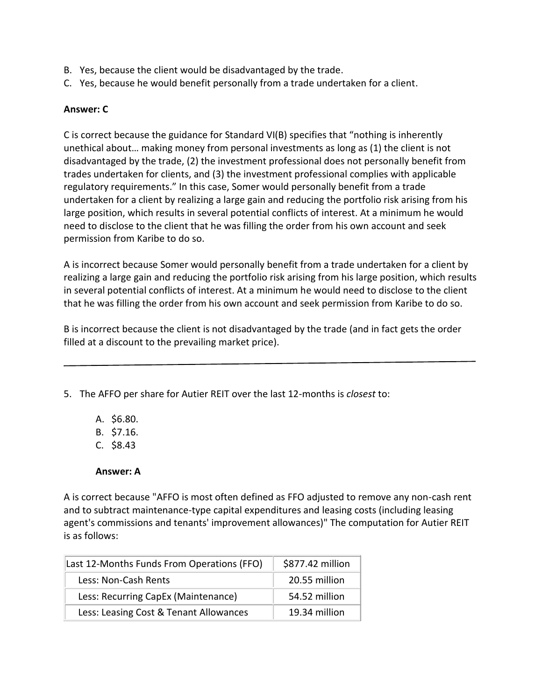- B. Yes, because the client would be disadvantaged by the trade.
- C. Yes, because he would benefit personally from a trade undertaken for a client.

## **Answer: C**

C is correct because the guidance for Standard VI(B) specifies that "nothing is inherently unethical about… making money from personal investments as long as (1) the client is not disadvantaged by the trade, (2) the investment professional does not personally benefit from trades undertaken for clients, and (3) the investment professional complies with applicable regulatory requirements." In this case, Somer would personally benefit from a trade undertaken for a client by realizing a large gain and reducing the portfolio risk arising from his large position, which results in several potential conflicts of interest. At a minimum he would need to disclose to the client that he was filling the order from his own account and seek permission from Karibe to do so.

A is incorrect because Somer would personally benefit from a trade undertaken for a client by realizing a large gain and reducing the portfolio risk arising from his large position, which results in several potential conflicts of interest. At a minimum he would need to disclose to the client that he was filling the order from his own account and seek permission from Karibe to do so.

B is incorrect because the client is not disadvantaged by the trade (and in fact gets the order filled at a discount to the prevailing market price).

5. The AFFO per share for Autier REIT over the last 12-months is *closest* to:

- A. \$6.80.
- B. \$7.16.
- C. \$8.43

**Answer: A**

A is correct because "AFFO is most often defined as FFO adjusted to remove any non-cash rent and to subtract maintenance-type capital expenditures and leasing costs (including leasing agent's commissions and tenants' improvement allowances)" The computation for Autier REIT is as follows:

| Last 12-Months Funds From Operations (FFO) | \$877.42 million |
|--------------------------------------------|------------------|
| Less: Non-Cash Rents                       | 20.55 million    |
| Less: Recurring CapEx (Maintenance)        | 54.52 million    |
| Less: Leasing Cost & Tenant Allowances     | 19.34 million    |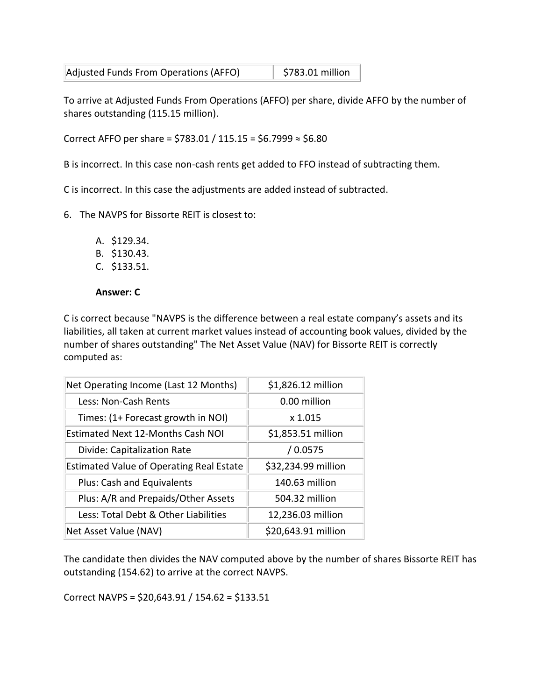| Adjusted Funds From Operations (AFFO) | \$783.01 million |
|---------------------------------------|------------------|
|                                       |                  |

To arrive at Adjusted Funds From Operations (AFFO) per share, divide AFFO by the number of shares outstanding (115.15 million).

Correct AFFO per share = \$783.01 / 115.15 = \$6.7999 ≈ \$6.80

B is incorrect. In this case non-cash rents get added to FFO instead of subtracting them.

C is incorrect. In this case the adjustments are added instead of subtracted.

- 6. The NAVPS for Bissorte REIT is closest to:
	- A. \$129.34.
	- B. \$130.43.
	- C. \$133.51.

#### **Answer: C**

C is correct because "NAVPS is the difference between a real estate company's assets and its liabilities, all taken at current market values instead of accounting book values, divided by the number of shares outstanding" The Net Asset Value (NAV) for Bissorte REIT is correctly computed as:

| \$1,826.12 million  |  |
|---------------------|--|
| 0.00 million        |  |
| x 1.015             |  |
| \$1,853.51 million  |  |
| /0.0575             |  |
| \$32,234.99 million |  |
| 140.63 million      |  |
| 504.32 million      |  |
| 12,236.03 million   |  |
| \$20,643.91 million |  |
|                     |  |

The candidate then divides the NAV computed above by the number of shares Bissorte REIT has outstanding (154.62) to arrive at the correct NAVPS.

Correct NAVPS = \$20,643.91 / 154.62 = \$133.51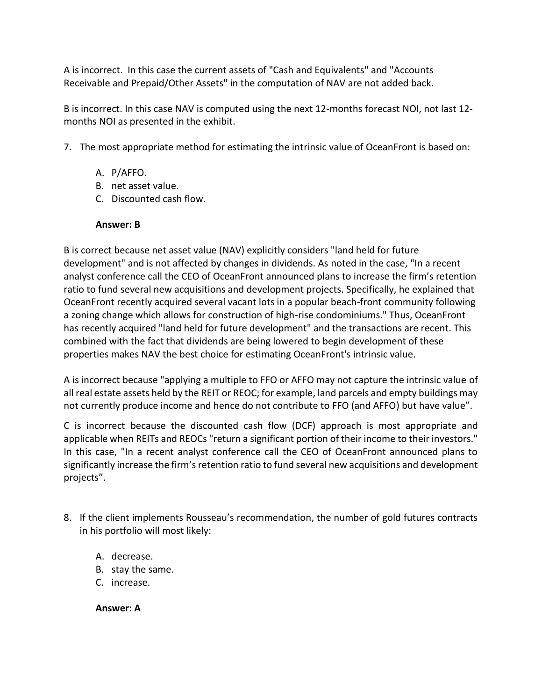A is incorrect. In this case the current assets of "Cash and Equivalents" and "Accounts Receivable and Prepaid/Other Assets" in the computation of NAV are not added back.

B is incorrect. In this case NAV is computed using the next 12-months forecast NOI, not last 12 months NOI as presented in the exhibit.

- 7. The most appropriate method for estimating the intrinsic value of OceanFront is based on:
	- A. P/AFFO.
	- B. net asset value.
	- C. Discounted cash flow.

### **Answer: B**

B is correct because net asset value (NAV) explicitly considers "land held for future development" and is not affected by changes in dividends. As noted in the case, "In a recent analyst conference call the CEO of OceanFront announced plans to increase the firm's retention ratio to fund several new acquisitions and development projects. Specifically, he explained that OceanFront recently acquired several vacant lots in a popular beach-front community following a zoning change which allows for construction of high-rise condominiums." Thus, OceanFront has recently acquired "land held for future development" and the transactions are recent. This combined with the fact that dividends are being lowered to begin development of these properties makes NAV the best choice for estimating OceanFront's intrinsic value.

A is incorrect because "applying a multiple to FFO or AFFO may not capture the intrinsic value of all real estate assets held by the REIT or REOC; for example, land parcels and empty buildings may not currently produce income and hence do not contribute to FFO (and AFFO) but have value".

C is incorrect because the discounted cash flow (DCF) approach is most appropriate and applicable when REITs and REOCs "return a significant portion of their income to their investors." In this case, "In a recent analyst conference call the CEO of OceanFront announced plans to significantly increase the firm's retention ratio to fund several new acquisitions and development projects".

- 8. If the client implements Rousseau's recommendation, the number of gold futures contracts in his portfolio will most likely:
	- A. decrease.
	- B. stay the same.
	- C. increase.

**Answer: A**